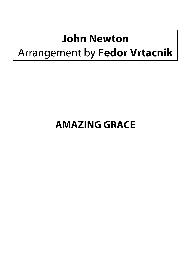## **John Newton**  Arrangement by **Fedor Vrtacnik**

## **AMAZING GRACE**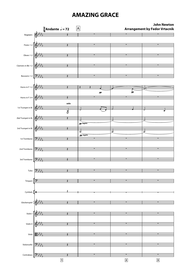## **AMAZING GRACE**